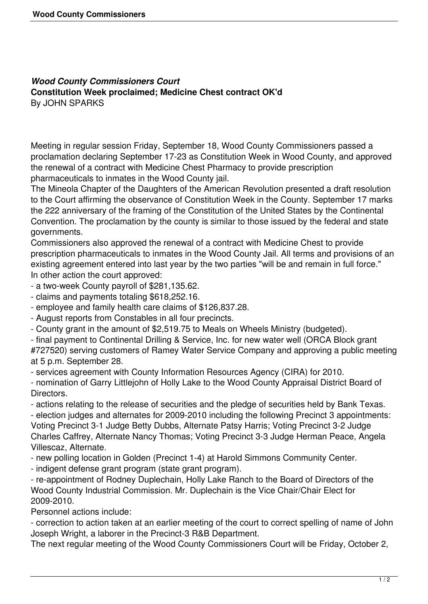## *Wood County Commissioners Court* **Constitution Week proclaimed; Medicine Chest contract OK'd** By JOHN SPARKS

Meeting in regular session Friday, September 18, Wood County Commissioners passed a proclamation declaring September 17-23 as Constitution Week in Wood County, and approved the renewal of a contract with Medicine Chest Pharmacy to provide prescription pharmaceuticals to inmates in the Wood County jail.

The Mineola Chapter of the Daughters of the American Revolution presented a draft resolution to the Court affirming the observance of Constitution Week in the County. September 17 marks the 222 anniversary of the framing of the Constitution of the United States by the Continental Convention. The proclamation by the county is similar to those issued by the federal and state governments.

Commissioners also approved the renewal of a contract with Medicine Chest to provide prescription pharmaceuticals to inmates in the Wood County Jail. All terms and provisions of an existing agreement entered into last year by the two parties "will be and remain in full force." In other action the court approved:

- a two-week County payroll of \$281,135.62.

- claims and payments totaling \$618,252.16.

- employee and family health care claims of \$126,837.28.

- August reports from Constables in all four precincts.

- County grant in the amount of \$2,519.75 to Meals on Wheels Ministry (budgeted).

- final payment to Continental Drilling & Service, Inc. for new water well (ORCA Block grant #727520) serving customers of Ramey Water Service Company and approving a public meeting at 5 p.m. September 28.

- services agreement with County Information Resources Agency (CIRA) for 2010.

- nomination of Garry Littlejohn of Holly Lake to the Wood County Appraisal District Board of Directors.

- actions relating to the release of securities and the pledge of securities held by Bank Texas. - election judges and alternates for 2009-2010 including the following Precinct 3 appointments: Voting Precinct 3-1 Judge Betty Dubbs, Alternate Patsy Harris; Voting Precinct 3-2 Judge Charles Caffrey, Alternate Nancy Thomas; Voting Precinct 3-3 Judge Herman Peace, Angela Villescaz, Alternate.

- new polling location in Golden (Precinct 1-4) at Harold Simmons Community Center.

- indigent defense grant program (state grant program).

- re-appointment of Rodney Duplechain, Holly Lake Ranch to the Board of Directors of the Wood County Industrial Commission. Mr. Duplechain is the Vice Chair/Chair Elect for 2009-2010.

Personnel actions include:

- correction to action taken at an earlier meeting of the court to correct spelling of name of John Joseph Wright, a laborer in the Precinct-3 R&B Department.

The next regular meeting of the Wood County Commissioners Court will be Friday, October 2,